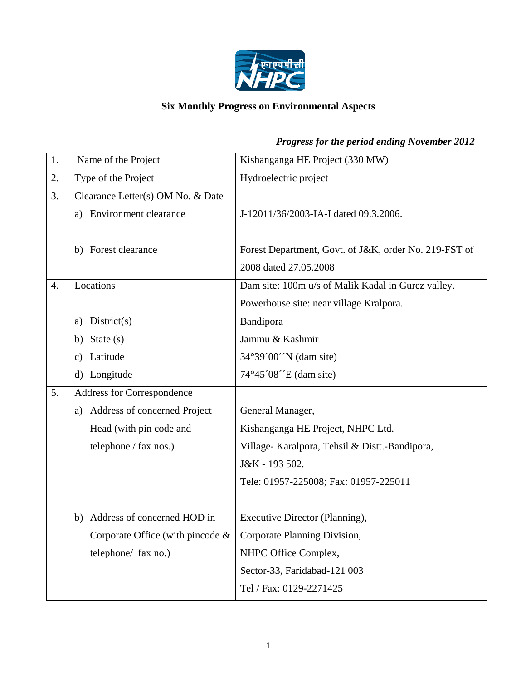

# **Six Monthly Progress on Environmental Aspects**

| 1. | Name of the Project                                                | Kishanganga HE Project (330 MW)                       |
|----|--------------------------------------------------------------------|-------------------------------------------------------|
| 2. | Type of the Project                                                | Hydroelectric project                                 |
| 3. | Clearance Letter(s) OM No. & Date                                  |                                                       |
|    | a) Environment clearance                                           | J-12011/36/2003-IA-I dated 09.3.2006.                 |
|    |                                                                    |                                                       |
|    | b) Forest clearance                                                | Forest Department, Govt. of J&K, order No. 219-FST of |
|    |                                                                    | 2008 dated 27.05.2008                                 |
| 4. | Locations                                                          | Dam site: 100m u/s of Malik Kadal in Gurez valley.    |
|    |                                                                    | Powerhouse site: near village Kralpora.               |
|    | District(s)<br>a)                                                  | Bandipora                                             |
|    | b) State $(s)$                                                     | Jammu & Kashmir                                       |
|    | Latitude<br>c)                                                     | 34°39′00′N (dam site)                                 |
|    | Longitude<br>d)                                                    | 74°45′08′ E (dam site)                                |
| 5. | Address for Correspondence                                         |                                                       |
|    | a) Address of concerned Project                                    | General Manager,                                      |
|    | Head (with pin code and                                            | Kishanganga HE Project, NHPC Ltd.                     |
|    | telephone / fax nos.)                                              | Village- Karalpora, Tehsil & Distt.-Bandipora,        |
|    |                                                                    | J&K - 193 502.                                        |
|    |                                                                    | Tele: 01957-225008; Fax: 01957-225011                 |
|    |                                                                    |                                                       |
|    | Address of concerned HOD in<br>b)                                  | Executive Director (Planning),                        |
|    | Corporate Office (with pincode $\&$   Corporate Planning Division, |                                                       |
|    | telephone/ fax no.)                                                | NHPC Office Complex,                                  |
|    |                                                                    | Sector-33, Faridabad-121 003                          |
|    |                                                                    | Tel / Fax: 0129-2271425                               |

# *Progress for the period ending November 2012*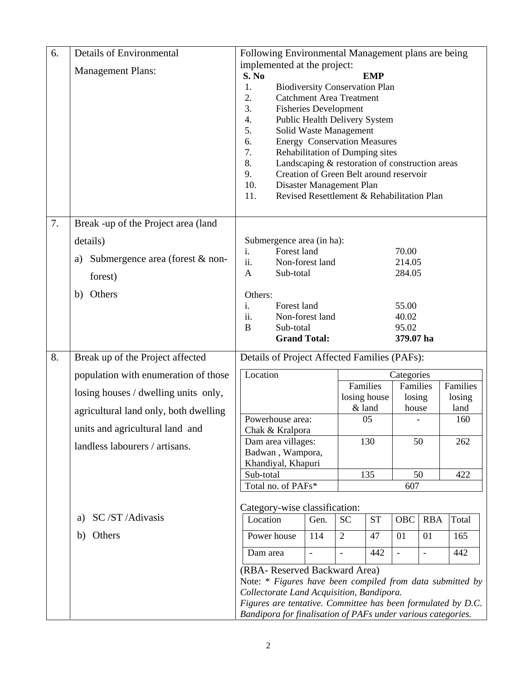| 6. | <b>Details of Environmental</b>       | Following Environmental Management plans are being                                                     |                                       |                |                    |                          |                    |       |
|----|---------------------------------------|--------------------------------------------------------------------------------------------------------|---------------------------------------|----------------|--------------------|--------------------------|--------------------|-------|
|    | <b>Management Plans:</b>              | implemented at the project:                                                                            |                                       |                |                    |                          |                    |       |
|    |                                       | S. No<br><b>EMP</b>                                                                                    |                                       |                |                    |                          |                    |       |
|    |                                       | 1.<br><b>Biodiversity Conservation Plan</b>                                                            |                                       |                |                    |                          |                    |       |
|    |                                       |                                                                                                        | 2.<br><b>Catchment Area Treatment</b> |                |                    |                          |                    |       |
|    |                                       | 3.                                                                                                     | <b>Fisheries Development</b>          |                |                    |                          |                    |       |
|    |                                       | 4.                                                                                                     | Public Health Delivery System         |                |                    |                          |                    |       |
|    |                                       | 5.                                                                                                     | Solid Waste Management                |                |                    |                          |                    |       |
|    |                                       | 6.                                                                                                     | <b>Energy Conservation Measures</b>   |                |                    |                          |                    |       |
|    |                                       |                                                                                                        | 7.<br>Rehabilitation of Dumping sites |                |                    |                          |                    |       |
|    |                                       | 8.<br>Landscaping & restoration of construction areas<br>9.<br>Creation of Green Belt around reservoir |                                       |                |                    |                          |                    |       |
|    |                                       | 10.<br>Disaster Management Plan                                                                        |                                       |                |                    |                          |                    |       |
|    |                                       | Revised Resettlement & Rehabilitation Plan<br>11.                                                      |                                       |                |                    |                          |                    |       |
|    |                                       |                                                                                                        |                                       |                |                    |                          |                    |       |
| 7. | Break -up of the Project area (land   |                                                                                                        |                                       |                |                    |                          |                    |       |
|    | details)                              | Submergence area (in ha):                                                                              |                                       |                |                    |                          |                    |       |
|    | Submergence area (forest & non-<br>a) | Forest land<br>i.                                                                                      |                                       |                |                    | 70.00                    |                    |       |
|    |                                       | ii.                                                                                                    | Non-forest land                       |                |                    | 214.05                   |                    |       |
|    | forest)                               | Sub-total<br>$\mathbf{A}$                                                                              |                                       |                |                    | 284.05                   |                    |       |
|    | Others<br>b)                          | Others:                                                                                                |                                       |                |                    |                          |                    |       |
|    |                                       | i.<br>Forest land                                                                                      |                                       |                |                    | 55.00                    |                    |       |
|    |                                       | ii.<br>$\bf{B}$<br>Sub-total                                                                           | Non-forest land                       |                |                    | 40.02<br>95.02           |                    |       |
|    |                                       |                                                                                                        | <b>Grand Total:</b>                   |                |                    | 379.07 ha                |                    |       |
|    |                                       |                                                                                                        |                                       |                |                    |                          |                    |       |
| 8. | Break up of the Project affected      | Details of Project Affected Families (PAFs):                                                           |                                       |                |                    |                          |                    |       |
|    | population with enumeration of those  | Location<br>Categories                                                                                 |                                       |                |                    |                          |                    |       |
|    | losing houses / dwelling units only,  | Families<br>losing house                                                                               |                                       |                | Families<br>losing |                          | Families<br>losing |       |
|    | agricultural land only, both dwelling |                                                                                                        |                                       | & land         |                    | house                    |                    | land  |
|    | units and agricultural land and       | Powerhouse area:<br>Chak & Kralpora                                                                    |                                       |                | 05                 |                          |                    | 160   |
|    | landless labourers / artisans.        | Dam area villages:                                                                                     |                                       |                | 130                |                          | 50                 | 262   |
|    |                                       | Badwan, Wampora,                                                                                       |                                       |                |                    |                          |                    |       |
|    |                                       | Khandiyal, Khapuri                                                                                     |                                       |                |                    |                          |                    |       |
|    |                                       | Sub-total<br>135                                                                                       |                                       |                |                    | 50                       | 422                |       |
|    |                                       | Total no. of PAFs*                                                                                     |                                       |                |                    | 607                      |                    |       |
|    |                                       | Category-wise classification:                                                                          |                                       |                |                    |                          |                    |       |
|    | SC/ST/Adivasis<br>a)                  | Location                                                                                               | Gen.                                  | <b>SC</b>      | <b>ST</b>          | OBC                      | <b>RBA</b>         | Total |
|    | Others<br>b)                          | Power house                                                                                            | 114                                   | 2              | 47                 | 01                       | 01                 | 165   |
|    |                                       | Dam area                                                                                               |                                       | $\overline{a}$ | 442                | $\overline{\phantom{a}}$ | $\frac{1}{2}$      | 442   |
|    |                                       | (RBA-Reserved Backward Area)                                                                           |                                       |                |                    |                          |                    |       |
|    |                                       | Note: * Figures have been compiled from data submitted by                                              |                                       |                |                    |                          |                    |       |
|    |                                       | Collectorate Land Acquisition, Bandipora.                                                              |                                       |                |                    |                          |                    |       |
|    |                                       | Figures are tentative. Committee has been formulated by D.C.                                           |                                       |                |                    |                          |                    |       |
|    |                                       | Bandipora for finalisation of PAFs under various categories.                                           |                                       |                |                    |                          |                    |       |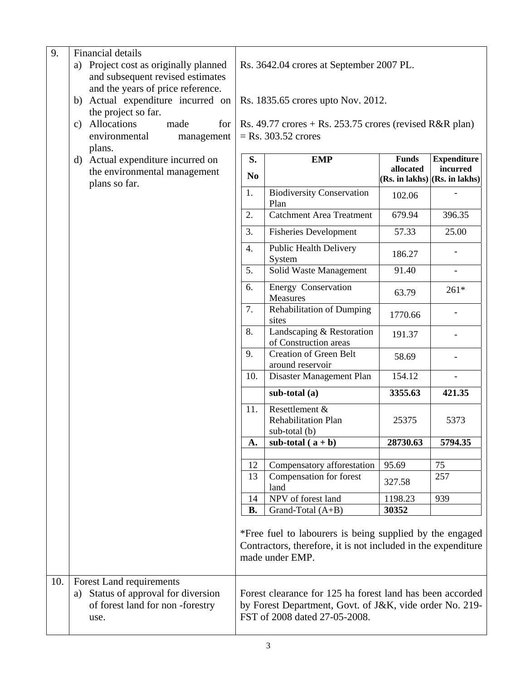| 9.  | <b>Financial details</b>                                                                                      |                                                                                                                                                       |                                                        |           |                                   |  |
|-----|---------------------------------------------------------------------------------------------------------------|-------------------------------------------------------------------------------------------------------------------------------------------------------|--------------------------------------------------------|-----------|-----------------------------------|--|
|     | Project cost as originally planned<br>a)<br>and subsequent revised estimates                                  | Rs. 3642.04 crores at September 2007 PL.                                                                                                              |                                                        |           |                                   |  |
|     | and the years of price reference.                                                                             |                                                                                                                                                       |                                                        |           |                                   |  |
|     | b) Actual expenditure incurred on                                                                             | Rs. 1835.65 crores upto Nov. 2012.                                                                                                                    |                                                        |           |                                   |  |
|     | the project so far.                                                                                           |                                                                                                                                                       |                                                        |           |                                   |  |
|     | c) Allocations<br>made<br>for                                                                                 | Rs. 49.77 crores $+$ Rs. 253.75 crores (revised R&R plan)                                                                                             |                                                        |           |                                   |  |
|     | environmental<br>management                                                                                   | $=$ Rs. 303.52 crores                                                                                                                                 |                                                        |           |                                   |  |
|     | plans.<br>d) Actual expenditure incurred on                                                                   | S.<br><b>Funds</b><br><b>Expenditure</b><br><b>EMP</b>                                                                                                |                                                        |           |                                   |  |
|     | the environmental management                                                                                  | N <sub>0</sub>                                                                                                                                        |                                                        | allocated | incurred                          |  |
|     | plans so far.                                                                                                 |                                                                                                                                                       |                                                        |           | $(Rs. in lakhs)$ $(Rs. in lakhs)$ |  |
|     |                                                                                                               | 1.                                                                                                                                                    | <b>Biodiversity Conservation</b><br>Plan               | 102.06    |                                   |  |
|     |                                                                                                               | 2.                                                                                                                                                    | <b>Catchment Area Treatment</b>                        | 679.94    | 396.35                            |  |
|     |                                                                                                               | 3.                                                                                                                                                    | <b>Fisheries Development</b>                           | 57.33     | 25.00                             |  |
|     |                                                                                                               | 4.                                                                                                                                                    | <b>Public Health Delivery</b><br>System                | 186.27    |                                   |  |
|     |                                                                                                               | 5.                                                                                                                                                    | Solid Waste Management                                 | 91.40     |                                   |  |
|     |                                                                                                               | 6.                                                                                                                                                    | Energy Conservation<br>Measures                        | 63.79     | $261*$                            |  |
|     |                                                                                                               | 7.                                                                                                                                                    | <b>Rehabilitation of Dumping</b><br>sites              | 1770.66   |                                   |  |
|     |                                                                                                               | 8.                                                                                                                                                    | Landscaping & Restoration<br>of Construction areas     | 191.37    |                                   |  |
|     |                                                                                                               | 9.                                                                                                                                                    | <b>Creation of Green Belt</b><br>around reservoir      | 58.69     |                                   |  |
|     |                                                                                                               | 10.                                                                                                                                                   | Disaster Management Plan                               | 154.12    | $\overline{\phantom{0}}$          |  |
|     |                                                                                                               |                                                                                                                                                       | sub-total (a)                                          | 3355.63   | 421.35                            |  |
|     |                                                                                                               | 11.                                                                                                                                                   | Resettlement &<br>Rehabilitation Plan<br>sub-total (b) | 25375     | 5373                              |  |
|     |                                                                                                               | A.                                                                                                                                                    | sub-total $(a + b)$                                    | 28730.63  | 5794.35                           |  |
|     |                                                                                                               | 12                                                                                                                                                    | Compensatory afforestation                             | 95.69     | 75                                |  |
|     |                                                                                                               | 13                                                                                                                                                    | Compensation for forest                                |           | 257                               |  |
|     |                                                                                                               |                                                                                                                                                       | land                                                   | 327.58    |                                   |  |
|     |                                                                                                               | 14                                                                                                                                                    | NPV of forest land                                     | 1198.23   | 939                               |  |
|     |                                                                                                               | <b>B.</b>                                                                                                                                             | Grand-Total (A+B)                                      | 30352     |                                   |  |
|     |                                                                                                               | *Free fuel to labourers is being supplied by the engaged<br>Contractors, therefore, it is not included in the expenditure<br>made under EMP.          |                                                        |           |                                   |  |
| 10. | Forest Land requirements<br>Status of approval for diversion<br>a)<br>of forest land for non-forestry<br>use. | Forest clearance for 125 ha forest land has been accorded<br>by Forest Department, Govt. of J&K, vide order No. 219-<br>FST of 2008 dated 27-05-2008. |                                                        |           |                                   |  |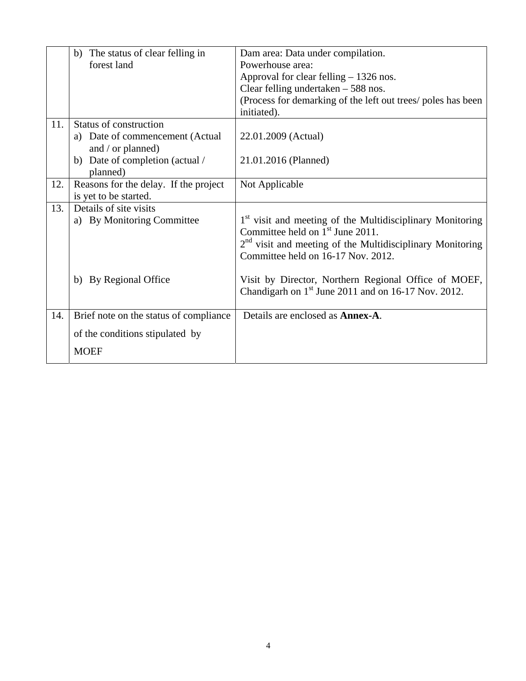|     | b) The status of clear felling in      | Dam area: Data under compilation.                                     |
|-----|----------------------------------------|-----------------------------------------------------------------------|
|     | forest land                            | Powerhouse area:                                                      |
|     |                                        | Approval for clear felling $-1326$ nos.                               |
|     |                                        | Clear felling undertaken $-588$ nos.                                  |
|     |                                        | (Process for demarking of the left out trees/ poles has been          |
|     |                                        | initiated).                                                           |
| 11. | Status of construction                 |                                                                       |
|     | a) Date of commencement (Actual        | 22.01.2009 (Actual)                                                   |
|     | and / or planned)                      |                                                                       |
|     | b) Date of completion (actual /        | 21.01.2016 (Planned)                                                  |
|     | planned)                               |                                                                       |
| 12. | Reasons for the delay. If the project  | Not Applicable                                                        |
|     | is yet to be started.                  |                                                                       |
| 13. | Details of site visits                 |                                                                       |
|     | a) By Monitoring Committee             | 1 <sup>st</sup> visit and meeting of the Multidisciplinary Monitoring |
|     |                                        | Committee held on 1 <sup>st</sup> June 2011.                          |
|     |                                        | $2nd$ visit and meeting of the Multidisciplinary Monitoring           |
|     |                                        | Committee held on 16-17 Nov. 2012.                                    |
|     |                                        |                                                                       |
|     | b) By Regional Office                  | Visit by Director, Northern Regional Office of MOEF,                  |
|     |                                        | Chandigarh on $1st$ June 2011 and on 16-17 Nov. 2012.                 |
| 14. | Brief note on the status of compliance | Details are enclosed as <b>Annex-A</b> .                              |
|     | of the conditions stipulated by        |                                                                       |
|     |                                        |                                                                       |
|     | <b>MOEF</b>                            |                                                                       |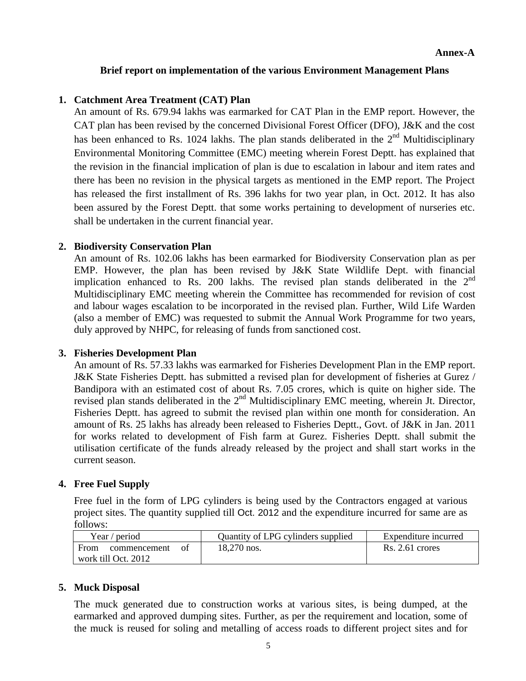#### **Brief report on implementation of the various Environment Management Plans**

#### **1. Catchment Area Treatment (CAT) Plan**

An amount of Rs. 679.94 lakhs was earmarked for CAT Plan in the EMP report. However, the CAT plan has been revised by the concerned Divisional Forest Officer (DFO), J&K and the cost has been enhanced to Rs. 1024 lakhs. The plan stands deliberated in the  $2<sup>nd</sup>$  Multidisciplinary Environmental Monitoring Committee (EMC) meeting wherein Forest Deptt. has explained that the revision in the financial implication of plan is due to escalation in labour and item rates and there has been no revision in the physical targets as mentioned in the EMP report. The Project has released the first installment of Rs. 396 lakhs for two year plan, in Oct. 2012. It has also been assured by the Forest Deptt. that some works pertaining to development of nurseries etc. shall be undertaken in the current financial year.

#### **2. Biodiversity Conservation Plan**

An amount of Rs. 102.06 lakhs has been earmarked for Biodiversity Conservation plan as per EMP. However, the plan has been revised by J&K State Wildlife Dept. with financial implication enhanced to Rs. 200 lakhs. The revised plan stands deliberated in the 2<sup>nd</sup> Multidisciplinary EMC meeting wherein the Committee has recommended for revision of cost and labour wages escalation to be incorporated in the revised plan. Further, Wild Life Warden (also a member of EMC) was requested to submit the Annual Work Programme for two years, duly approved by NHPC, for releasing of funds from sanctioned cost.

#### **3. Fisheries Development Plan**

An amount of Rs. 57.33 lakhs was earmarked for Fisheries Development Plan in the EMP report. J&K State Fisheries Deptt. has submitted a revised plan for development of fisheries at Gurez / Bandipora with an estimated cost of about Rs. 7.05 crores, which is quite on higher side. The revised plan stands deliberated in the 2<sup>nd</sup> Multidisciplinary EMC meeting, wherein Jt. Director, Fisheries Deptt. has agreed to submit the revised plan within one month for consideration. An amount of Rs. 25 lakhs has already been released to Fisheries Deptt., Govt. of J&K in Jan. 2011 for works related to development of Fish farm at Gurez. Fisheries Deptt. shall submit the utilisation certificate of the funds already released by the project and shall start works in the current season.

# **4. Free Fuel Supply**

Free fuel in the form of LPG cylinders is being used by the Contractors engaged at various project sites. The quantity supplied till Oct. 2012 and the expenditure incurred for same are as follows:

| Year / period              | Quantity of LPG cylinders supplied | Expenditure incurred |
|----------------------------|------------------------------------|----------------------|
| From<br>commencement<br>Ωt | 18,270 nos.                        | $Rs. 2.61$ crores    |
| work till Oct. 2012        |                                    |                      |

#### **5. Muck Disposal**

 The muck generated due to construction works at various sites, is being dumped, at the earmarked and approved dumping sites. Further, as per the requirement and location, some of the muck is reused for soling and metalling of access roads to different project sites and for